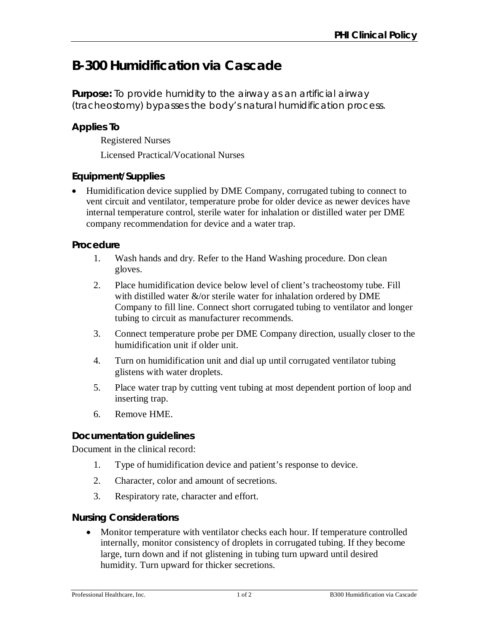# **B-300 Humidification via Cascade**

**Purpose:** To provide humidity to the airway as an artificial airway (tracheostomy) bypasses the body's natural humidification process.

## **Applies To**

Registered Nurses

Licensed Practical/Vocational Nurses

## **Equipment/Supplies**

 Humidification device supplied by DME Company, corrugated tubing to connect to vent circuit and ventilator, temperature probe for older device as newer devices have internal temperature control, sterile water for inhalation or distilled water per DME company recommendation for device and a water trap.

## **Procedure**

- 1. Wash hands and dry. Refer to the Hand Washing procedure. Don clean gloves.
- 2. Place humidification device below level of client's tracheostomy tube. Fill with distilled water  $\&$ /or sterile water for inhalation ordered by DME Company to fill line. Connect short corrugated tubing to ventilator and longer tubing to circuit as manufacturer recommends.
- 3. Connect temperature probe per DME Company direction, usually closer to the humidification unit if older unit.
- 4. Turn on humidification unit and dial up until corrugated ventilator tubing glistens with water droplets.
- 5. Place water trap by cutting vent tubing at most dependent portion of loop and inserting trap.
- 6. Remove HME.

## **Documentation guidelines**

Document in the clinical record:

- 1. Type of humidification device and patient's response to device.
- 2. Character, color and amount of secretions.
- 3. Respiratory rate, character and effort.

## **Nursing Considerations**

 Monitor temperature with ventilator checks each hour. If temperature controlled internally, monitor consistency of droplets in corrugated tubing. If they become large, turn down and if not glistening in tubing turn upward until desired humidity. Turn upward for thicker secretions.